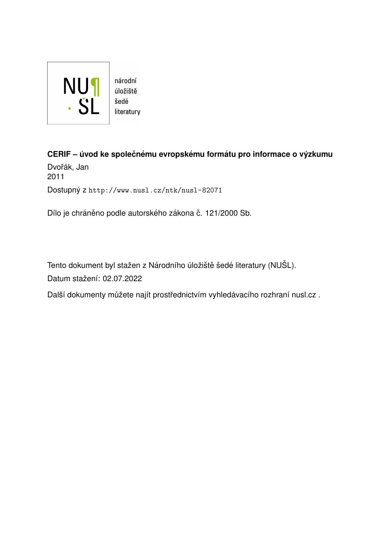

**CERIF – úvod ke společnému evropskému formátu pro informace o výzkumu** Dvořák, Jan 2011 Dostupný z <http://www.nusl.cz/ntk/nusl-82071>

Dílo je chráněno podle autorského zákona č. 121/2000 Sb.

Tento dokument byl stažen z Národního úložiště šedé literatury (NUŠL). Datum stažení: 02.07.2022

Další dokumenty můžete najít prostřednictvím vyhledávacího rozhraní [nusl.cz](http://www.nusl.cz) .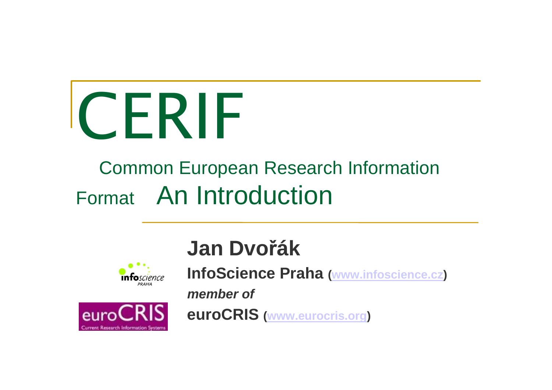

#### Common European Research Information Format An Introduction





#### **Jan Dvořák**

**InfoScience Praha(www.infoscience.cz)**

**member of**

**euroCRIS(www.eurocris.org)**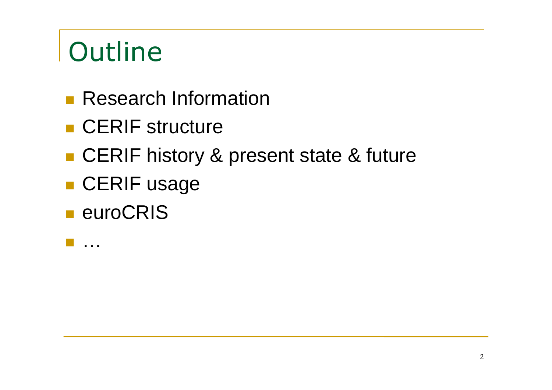# **Outline**

- **Research Information**
- CERIF structure
- CERIF history & present state & future
- CERIF usage
- euroCRIS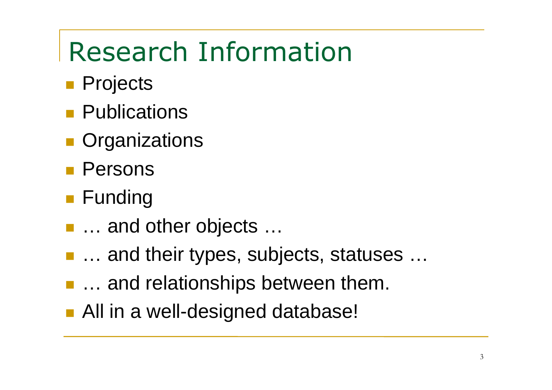#### Research Information

- Projects
- **Publications**
- **Organizations**
- Persons
- Funding
- … and other objects …
- T ... and their types. Su ■ ... and their types, subjects, statuses ...
- **... and relationships between them.**
- All in a well-designed database!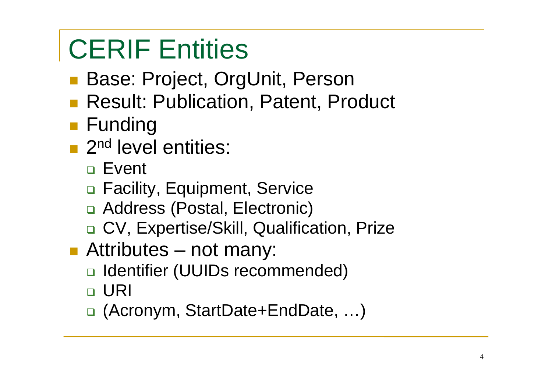## CERIF Entities

- Base: Proiect. Or **Base: Project, OrgUnit, Person**
- Result: Publication. Patent. Pr **Result: Publication, Patent, Product**
- Funding
- **2nd level entities:** 
	- Event
	- n Facility, Equipment, Service
	- □ Address (Postal, Electronic)
	- □ CV, Expertise/Skill, Qualification, Prize
- $\mathbb{R}^n$ **Attributes – not many:** 
	- □ Identifier (UUIDs recommended)
	- URI
	- □ (Acronym, StartDate+EndDate, ...)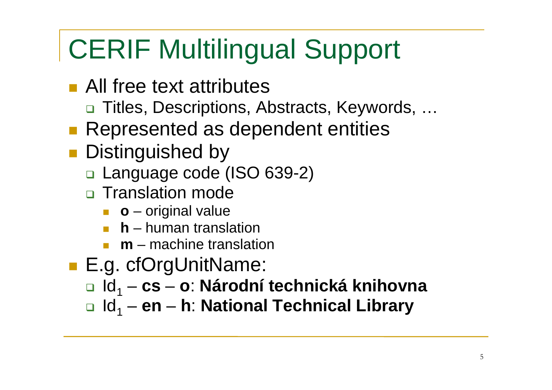### CERIF Multilingual Support

- All free text attributes
	- □ Titles, Descriptions, Abstracts, Keywords, …
- **Represented as dependent entities**
- **Distinguished by** 
	- □ Language code (ISO 639-2)
	- □ Translation mode
		- **o** original value
		- **h** human translation
		- T. **m** – machine translation<br>cfOrel light losses:
- E.g. cfOrgUnitName:
	- **□** ld<sub>1</sub> **cs <sup>o</sup>**: **Národní technická knihovna**
	- **□** ld<sub>1</sub> **en h**: **National Technical Library**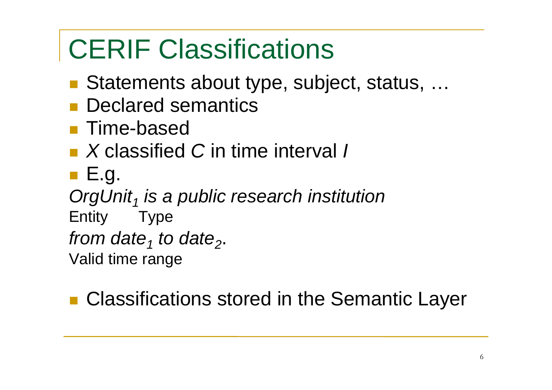#### CERIF Classifications

- in.<br>Ma ■ Statements about type, subject, status, ...
- **Declared semantics**
- in.<br>Ma **Time-based**
- X classified C in time interval /
- i<br>List ■ E.g.

OrgUnit<sub>1</sub>  $\mathcal{L}_j$  is a public research institution

Entity Type

from date<sub>1</sub> t  $\mathbf{e}_{\scriptscriptstyle 1}$  to date $\mathbf{e}_{\scriptscriptstyle 2}$ .

Valid time range

in.<br>Ma ■ Classifications stored in the Semantic Layer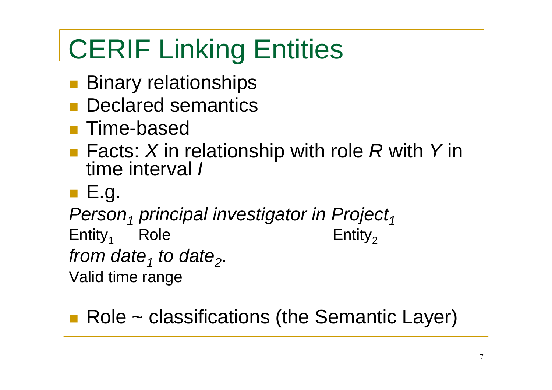## CERIF Linking Entities

- in.<br>Ma **Binary relationships**
- **Declared semantic Declared semantics**
- in.<br>Ma ■ Time-based
- $\blacksquare$  Facts: X in ■ Facts: X in relationship with role R with Y in<br>time interval / time interval *l*
- E.g.

 $Person_1$  $p_1$  principal investigator in Project 1

 $Entity<sub>1</sub>$  $\begin{array}{ccc} \mathsf{1} & \mathsf{Role} \end{array}$  Entity  $Entity<sub>2</sub>$ 

from date<sub>1</sub>  $\mathbf{e}_{\scriptscriptstyle 1}$  to date $\mathbf{e}_{\scriptscriptstyle 2}$ .

Valid time range

■ Role ~ classifications (the Semantic Layer)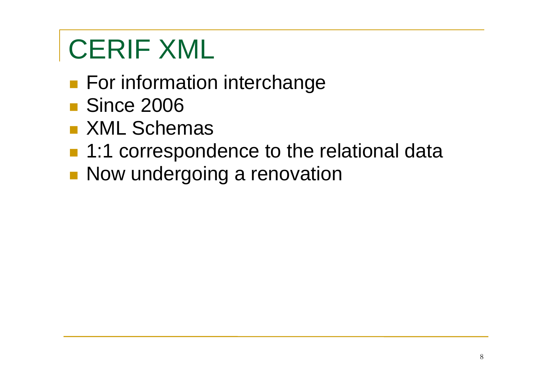## CERIF XML

- in.<br>Ma **For information interchange**
- Since 2006
- $\blacksquare$  XML Sche **NML Schemas**
- **1:1 correspon** ■ 1:1 correspondence to the relational data
- in.<br>Ma **Now undergoing a renovation**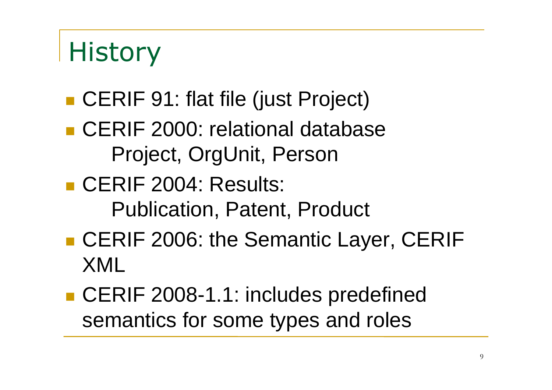## **History**

- CERIF 91: flat file (just Project)
- **Service Service CERIF 2000: relational database** Project, OrgUnit, Person
- **CERIF 2004: Results:** Publication, Patent, Product
- ■ CERIF 2006: the Semantic Layer, CERIF XML
- CERIF 2008-1.1: includes predefined semantics for some types and roles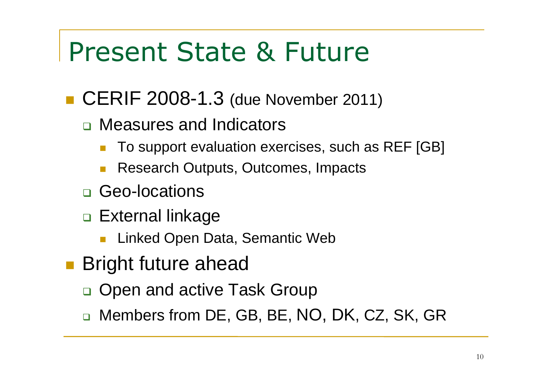#### Present State & Future

- CERIF 2008-1.3 (due November 2011)
	- □ Measures and Indicators
		- $\mathcal{C}^{\mathcal{A}}$ To support evaluation exercises, such as REF [GB]
		- $\mathbb{R}^3$ Research Outputs, Outcomes, Impacts
	- □ Geo-locations
	- <mark>□ External linkage</mark>
		- Linked Open Data, Semantic Web
- **Bright future ahead** 
	- □ Open and active Task Group
	- $\Box$  $\textcolor{red}{\blacksquare}$  Members from DE, GB, BE, NO, DK, CZ, SK, GR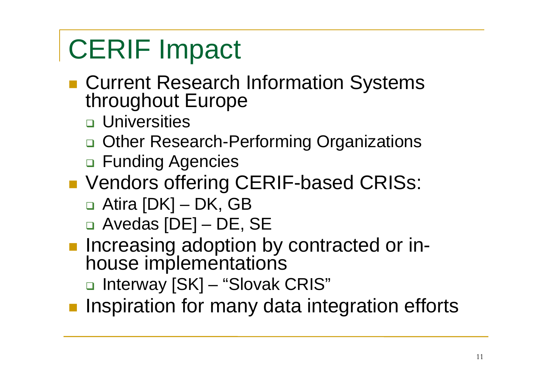### CERIF Impact

- Current Research Information Systems<br>throughout Europe
	- □ Universities
	- □ Other Research-Performing Organizations
	- □ Funding Agencies
- Vendors offering CERIF-based CRISs:
	- □ Atira [DK] DK, GB
	- □ Avedas [DE] DE, SE
- **Lucreasing adoption Increasing adoption by contracted or in**  house implementations
	- □ Interway [SK] "Slovak CRIS"
- **L** Inspiration for many data ii **n** Inspiration for many data integration efforts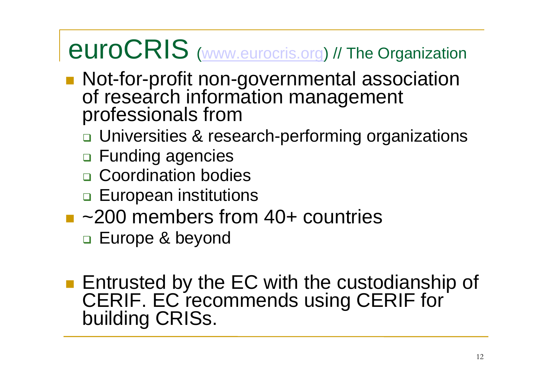#### euroCRISS (www.eurocris.org) // The Organization

- Not-for-profit non-governmental association<br>of research information management<br>professionals from
	- □ Universities & research-performing organizations
	- □ Funding agencies
	- n Coordination bodies
	- □ European institutions
- ~200 members from 40+ countries
	- □ Europe & beyond
- Entrusted by the EC with the custodianship of CERIF. EC recommends using CERIF for CERIF. EC recommends using CERIF for building CRISs.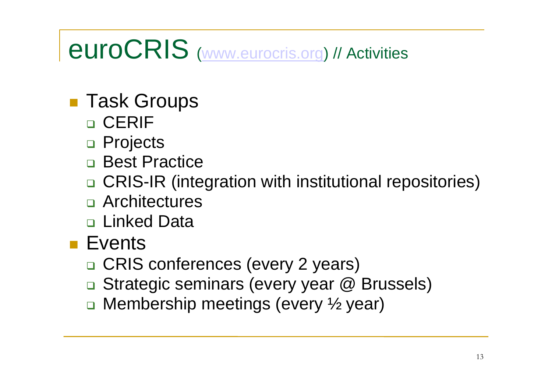#### euroCRIS(www.eurocris.org) // Activities

- Task Groups
	- □ CERIF
	- □ Projects
	- n Best Practice
	- □ CRIS-IR (integration with institutional repositories)
	- □ Architectures
	- **□ Linked Data**<br>一
- Events
	- □ CRIS conferences (every 2 years)
	- $\Box$ □ Strategic seminars (every year @ Brussels)
	- $\Box$ Membership meetings (every ½ year)